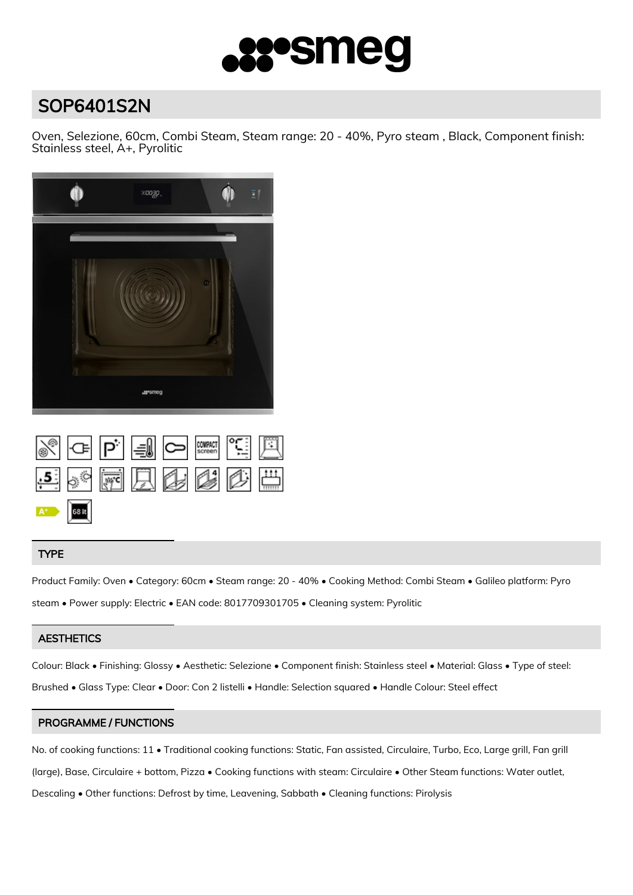

# SOP6401S2N

Oven, Selezione, 60cm, Combi Steam, Steam range: 20 - 40%, Pyro steam , Black, Component finish: Stainless steel, A+, Pyrolitic



|             | Sep = 0 second [ E |  |  |  |
|-------------|--------------------|--|--|--|
|             | 5、"雨只多心心曲          |  |  |  |
| $A^*$ 68 it |                    |  |  |  |

# TYPE

Product Family: Oven • Category: 60cm • Steam range: 20 - 40% • Cooking Method: Combi Steam • Galileo platform: Pyro steam • Power supply: Electric • EAN code: 8017709301705 • Cleaning system: Pyrolitic

# **AESTHETICS**

Colour: Black • Finishing: Glossy • Aesthetic: Selezione • Component finish: Stainless steel • Material: Glass • Type of steel: Brushed • Glass Type: Clear • Door: Con 2 listelli • Handle: Selection squared • Handle Colour: Steel effect

## PROGRAMME / FUNCTIONS

No. of cooking functions: 11 • Traditional cooking functions: Static, Fan assisted, Circulaire, Turbo, Eco, Large grill, Fan grill (large), Base, Circulaire + bottom, Pizza • Cooking functions with steam: Circulaire • Other Steam functions: Water outlet, Descaling • Other functions: Defrost by time, Leavening, Sabbath • Cleaning functions: Pirolysis